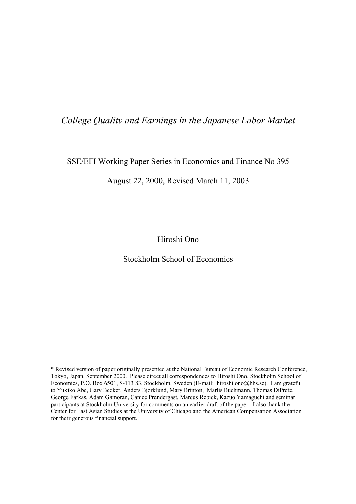## *College Quality and Earnings in the Japanese Labor Market*

### SSE/EFI Working Paper Series in Economics and Finance No 395

### August 22, 2000, Revised March 11, 2003

Hiroshi Ono

## Stockholm School of Economics

\* Revised version of paper originally presented at the National Bureau of Economic Research Conference, Tokyo, Japan, September 2000. Please direct all correspondences to Hiroshi Ono, Stockholm School of Economics, P.O. Box 6501, S-113 83, Stockholm, Sweden (E-mail: hiroshi.ono@hhs.se). I am grateful to Yukiko Abe, Gary Becker, Anders Bjorklund, Mary Brinton, Marlis Buchmann, Thomas DiPrete, George Farkas, Adam Gamoran, Canice Prendergast, Marcus Rebick, Kazuo Yamaguchi and seminar participants at Stockholm University for comments on an earlier draft of the paper. I also thank the Center for East Asian Studies at the University of Chicago and the American Compensation Association for their generous financial support.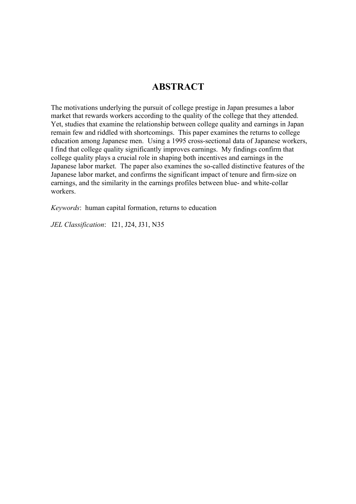# **ABSTRACT**

The motivations underlying the pursuit of college prestige in Japan presumes a labor market that rewards workers according to the quality of the college that they attended. Yet, studies that examine the relationship between college quality and earnings in Japan remain few and riddled with shortcomings. This paper examines the returns to college education among Japanese men. Using a 1995 cross-sectional data of Japanese workers, I find that college quality significantly improves earnings. My findings confirm that college quality plays a crucial role in shaping both incentives and earnings in the Japanese labor market. The paper also examines the so-called distinctive features of the Japanese labor market, and confirms the significant impact of tenure and firm-size on earnings, and the similarity in the earnings profiles between blue- and white-collar workers.

*Keywords*: human capital formation, returns to education

*JEL Classification*: I21, J24, J31, N35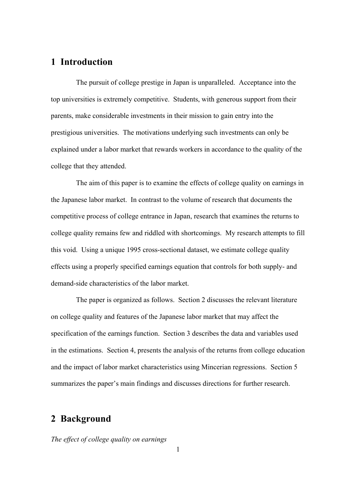### **1 Introduction**

 The pursuit of college prestige in Japan is unparalleled. Acceptance into the top universities is extremely competitive. Students, with generous support from their parents, make considerable investments in their mission to gain entry into the prestigious universities. The motivations underlying such investments can only be explained under a labor market that rewards workers in accordance to the quality of the college that they attended.

 The aim of this paper is to examine the effects of college quality on earnings in the Japanese labor market. In contrast to the volume of research that documents the competitive process of college entrance in Japan, research that examines the returns to college quality remains few and riddled with shortcomings. My research attempts to fill this void. Using a unique 1995 cross-sectional dataset, we estimate college quality effects using a properly specified earnings equation that controls for both supply- and demand-side characteristics of the labor market.

 The paper is organized as follows. Section 2 discusses the relevant literature on college quality and features of the Japanese labor market that may affect the specification of the earnings function. Section 3 describes the data and variables used in the estimations. Section 4, presents the analysis of the returns from college education and the impact of labor market characteristics using Mincerian regressions. Section 5 summarizes the paper's main findings and discusses directions for further research.

## **2 Background**

*The effect of college quality on earnings*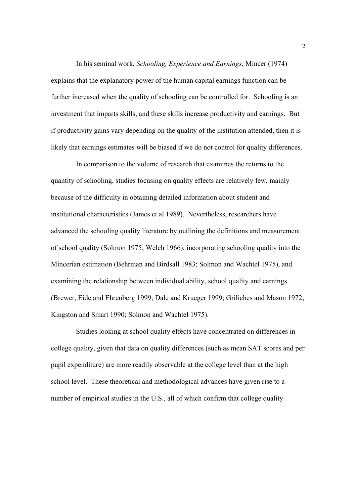In his seminal work, *Schooling, Experience and Earnings*, Mincer (1974) explains that the explanatory power of the human capital earnings function can be further increased when the quality of schooling can be controlled for. Schooling is an investment that imparts skills, and these skills increase productivity and earnings. But if productivity gains vary depending on the quality of the institution attended, then it is likely that earnings estimates will be biased if we do not control for quality differences.

 In comparison to the volume of research that examines the returns to the quantity of schooling, studies focusing on quality effects are relatively few, mainly because of the difficulty in obtaining detailed information about student and institutional characteristics (James et al 1989). Nevertheless, researchers have advanced the schooling quality literature by outlining the definitions and measurement of school quality (Solmon 1975; Welch 1966), incorporating schooling quality into the Mincerian estimation (Behrman and Birdsall 1983; Solmon and Wachtel 1975), and examining the relationship between individual ability, school quality and earnings (Brewer, Eide and Ehrenberg 1999; Dale and Krueger 1999; Griliches and Mason 1972; Kingston and Smart 1990; Solmon and Wachtel 1975).

 Studies looking at school quality effects have concentrated on differences in college quality, given that data on quality differences (such as mean SAT scores and per pupil expenditure) are more readily observable at the college level than at the high school level. These theoretical and methodological advances have given rise to a number of empirical studies in the U.S., all of which confirm that college quality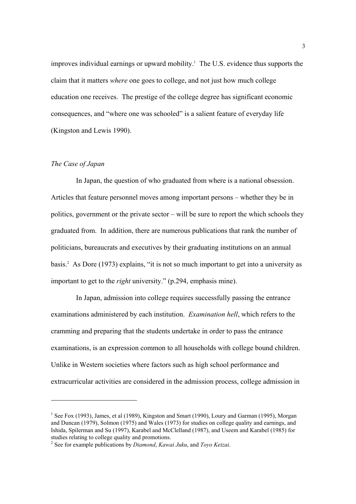improves individual earnings or upward mobility.<sup>1</sup> The U.S. evidence thus supports the claim that it matters *where* one goes to college, and not just how much college education one receives. The prestige of the college degree has significant economic consequences, and "where one was schooled" is a salient feature of everyday life (Kingston and Lewis 1990).

### *The Case of Japan*

 $\overline{a}$ 

 In Japan, the question of who graduated from where is a national obsession. Articles that feature personnel moves among important persons – whether they be in politics, government or the private sector – will be sure to report the which schools they graduated from. In addition, there are numerous publications that rank the number of politicians, bureaucrats and executives by their graduating institutions on an annual basis.2 As Dore (1973) explains, "it is not so much important to get into a university as important to get to the *right* university." (p.294, emphasis mine).

 In Japan, admission into college requires successfully passing the entrance examinations administered by each institution. *Examination hell*, which refers to the cramming and preparing that the students undertake in order to pass the entrance examinations, is an expression common to all households with college bound children. Unlike in Western societies where factors such as high school performance and extracurricular activities are considered in the admission process, college admission in

<sup>&</sup>lt;sup>1</sup> See Fox (1993), James, et al (1989), Kingston and Smart (1990), Loury and Garman (1995), Morgan and Duncan (1979), Solmon (1975) and Wales (1973) for studies on college quality and earnings, and Ishida, Spilerman and Su (1997), Karabel and McClelland (1987), and Useem and Karabel (1985) for studies relating to college quality and promotions.

<sup>2</sup> See for example publications by *Diamond*, *Kawai Juku*, and *Toyo Keizai*.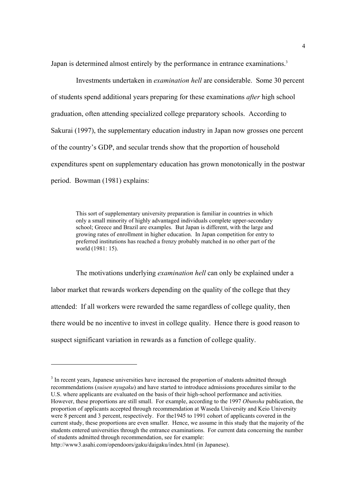Japan is determined almost entirely by the performance in entrance examinations.<sup>3</sup>

 Investments undertaken in *examination hell* are considerable. Some 30 percent of students spend additional years preparing for these examinations *after* high school graduation, often attending specialized college preparatory schools. According to Sakurai (1997), the supplementary education industry in Japan now grosses one percent of the country's GDP, and secular trends show that the proportion of household expenditures spent on supplementary education has grown monotonically in the postwar period. Bowman (1981) explains:

This sort of supplementary university preparation is familiar in countries in which only a small minority of highly advantaged individuals complete upper-secondary school; Greece and Brazil are examples. But Japan is different, with the large and growing rates of enrollment in higher education. In Japan competition for entry to preferred institutions has reached a frenzy probably matched in no other part of the world (1981: 15).

 The motivations underlying *examination hell* can only be explained under a labor market that rewards workers depending on the quality of the college that they attended: If all workers were rewarded the same regardless of college quality, then there would be no incentive to invest in college quality. Hence there is good reason to suspect significant variation in rewards as a function of college quality.

<sup>&</sup>lt;sup>3</sup> In recent years, Japanese universities have increased the proportion of students admitted through recommendations (*suisen nyugaku*) and have started to introduce admissions procedures similar to the U.S. where applicants are evaluated on the basis of their high-school performance and activities. However, these proportions are still small. For example, according to the 1997 *Obunsha* publication, the proportion of applicants accepted through recommendation at Waseda University and Keio University were 8 percent and 3 percent, respectively. For the 1945 to 1991 cohort of applicants covered in the current study, these proportions are even smaller. Hence, we assume in this study that the majority of the students entered universities through the entrance examinations. For current data concerning the number of students admitted through recommendation, see for example:

http://www3.asahi.com/opendoors/gaku/daigaku/index.html (in Japanese).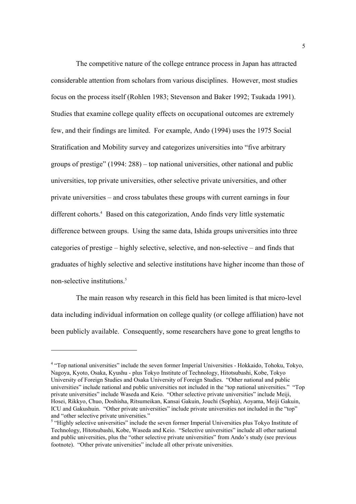The competitive nature of the college entrance process in Japan has attracted considerable attention from scholars from various disciplines. However, most studies focus on the process itself (Rohlen 1983; Stevenson and Baker 1992; Tsukada 1991). Studies that examine college quality effects on occupational outcomes are extremely few, and their findings are limited. For example, Ando (1994) uses the 1975 Social Stratification and Mobility survey and categorizes universities into "five arbitrary groups of prestige" (1994: 288) – top national universities, other national and public universities, top private universities, other selective private universities, and other private universities – and cross tabulates these groups with current earnings in four different cohorts.<sup>4</sup> Based on this categorization, Ando finds very little systematic difference between groups. Using the same data, Ishida groups universities into three categories of prestige – highly selective, selective, and non-selective – and finds that graduates of highly selective and selective institutions have higher income than those of non-selective institutions.<sup>5</sup>

 The main reason why research in this field has been limited is that micro-level data including individual information on college quality (or college affiliation) have not been publicly available. Consequently, some researchers have gone to great lengths to

<sup>&</sup>lt;sup>4</sup> "Top national universities" include the seven former Imperial Universities - Hokkaido, Tohoku, Tokyo, Nagoya, Kyoto, Osaka, Kyushu - plus Tokyo Institute of Technology, Hitotsubashi, Kobe, Tokyo University of Foreign Studies and Osaka University of Foreign Studies. "Other national and public universities" include national and public universities not included in the "top national universities." "Top private universities" include Waseda and Keio. "Other selective private universities" include Meiji, Hosei, Rikkyo, Chuo, Doshisha, Ritsumeikan, Kansai Gakuin, Jouchi (Sophia), Aoyama, Meiji Gakuin, ICU and Gakushuin. "Other private universities" include private universities not included in the "top" and "other selective private universities."

<sup>&</sup>lt;sup>5</sup> "Highly selective universities" include the seven former Imperial Universities plus Tokyo Institute of Technology, Hitotsubashi, Kobe, Waseda and Keio. "Selective universities" include all other national and public universities, plus the "other selective private universities" from Ando's study (see previous footnote). "Other private universities" include all other private universities.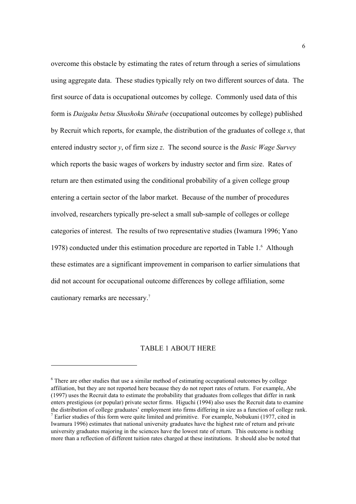overcome this obstacle by estimating the rates of return through a series of simulations using aggregate data. These studies typically rely on two different sources of data. The first source of data is occupational outcomes by college. Commonly used data of this form is *Daigaku betsu Shushoku Shirabe* (occupational outcomes by college) published by Recruit which reports, for example, the distribution of the graduates of college *x*, that entered industry sector *y*, of firm size *z*. The second source is the *Basic Wage Survey* which reports the basic wages of workers by industry sector and firm size. Rates of return are then estimated using the conditional probability of a given college group entering a certain sector of the labor market. Because of the number of procedures involved, researchers typically pre-select a small sub-sample of colleges or college categories of interest. The results of two representative studies (Iwamura 1996; Yano 1978) conducted under this estimation procedure are reported in Table 1.<sup>6</sup> Although these estimates are a significant improvement in comparison to earlier simulations that did not account for occupational outcome differences by college affiliation, some cautionary remarks are necessary.7

#### TABLE 1 ABOUT HERE

<sup>&</sup>lt;sup>6</sup> There are other studies that use a similar method of estimating occupational outcomes by college affiliation, but they are not reported here because they do not report rates of return. For example, Abe (1997) uses the Recruit data to estimate the probability that graduates from colleges that differ in rank enters prestigious (or popular) private sector firms. Higuchi (1994) also uses the Recruit data to examine the distribution of college graduates' employment into firms differing in size as a function of college rank. 7 <sup>7</sup> Earlier studies of this form were quite limited and primitive. For example, Nobukuni (1977, cited in Iwamura 1996) estimates that national university graduates have the highest rate of return and private university graduates majoring in the sciences have the lowest rate of return. This outcome is nothing more than a reflection of different tuition rates charged at these institutions. It should also be noted that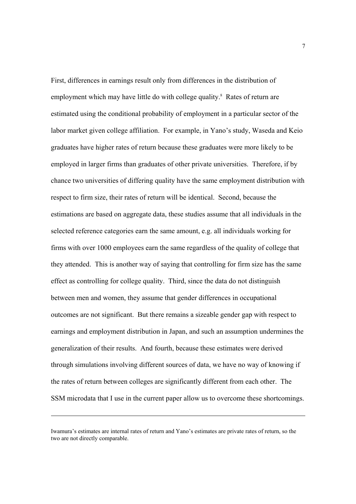First, differences in earnings result only from differences in the distribution of employment which may have little do with college quality.<sup>8</sup> Rates of return are estimated using the conditional probability of employment in a particular sector of the labor market given college affiliation. For example, in Yano's study, Waseda and Keio graduates have higher rates of return because these graduates were more likely to be employed in larger firms than graduates of other private universities. Therefore, if by chance two universities of differing quality have the same employment distribution with respect to firm size, their rates of return will be identical. Second, because the estimations are based on aggregate data, these studies assume that all individuals in the selected reference categories earn the same amount, e.g. all individuals working for firms with over 1000 employees earn the same regardless of the quality of college that they attended. This is another way of saying that controlling for firm size has the same effect as controlling for college quality. Third, since the data do not distinguish between men and women, they assume that gender differences in occupational outcomes are not significant. But there remains a sizeable gender gap with respect to earnings and employment distribution in Japan, and such an assumption undermines the generalization of their results. And fourth, because these estimates were derived through simulations involving different sources of data, we have no way of knowing if the rates of return between colleges are significantly different from each other. The SSM microdata that I use in the current paper allow us to overcome these shortcomings.

Iwamura's estimates are internal rates of return and Yano's estimates are private rates of return, so the two are not directly comparable.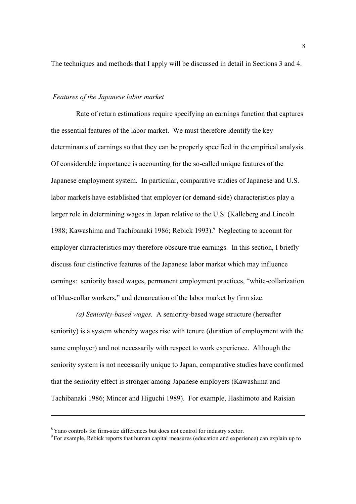The techniques and methods that I apply will be discussed in detail in Sections 3 and 4.

#### *Features of the Japanese labor market*

 Rate of return estimations require specifying an earnings function that captures the essential features of the labor market. We must therefore identify the key determinants of earnings so that they can be properly specified in the empirical analysis. Of considerable importance is accounting for the so-called unique features of the Japanese employment system. In particular, comparative studies of Japanese and U.S. labor markets have established that employer (or demand-side) characteristics play a larger role in determining wages in Japan relative to the U.S. (Kalleberg and Lincoln 1988; Kawashima and Tachibanaki 1986; Rebick 1993).<sup>9</sup> Neglecting to account for employer characteristics may therefore obscure true earnings. In this section, I briefly discuss four distinctive features of the Japanese labor market which may influence earnings: seniority based wages, permanent employment practices, "white-collarization of blue-collar workers," and demarcation of the labor market by firm size.

 *(a) Seniority-based wages.* A seniority-based wage structure (hereafter seniority) is a system whereby wages rise with tenure (duration of employment with the same employer) and not necessarily with respect to work experience. Although the seniority system is not necessarily unique to Japan, comparative studies have confirmed that the seniority effect is stronger among Japanese employers (Kawashima and Tachibanaki 1986; Mincer and Higuchi 1989). For example, Hashimoto and Raisian

<sup>&</sup>lt;sup>8</sup> Yano controls for firm-size differences but does not control for industry sector.<br><sup>9</sup> For example, Rebick reports that human capital measures (education and experience) can explain up to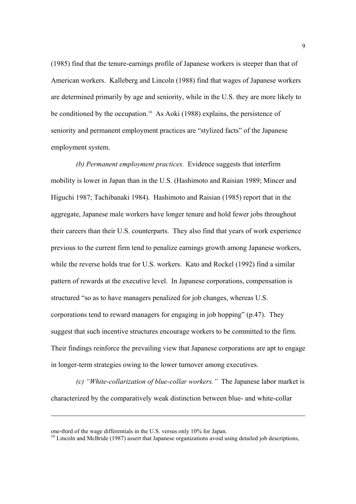(1985) find that the tenure-earnings profile of Japanese workers is steeper than that of American workers. Kalleberg and Lincoln (1988) find that wages of Japanese workers are determined primarily by age and seniority, while in the U.S. they are more likely to be conditioned by the occupation.<sup>10</sup> As Aoki (1988) explains, the persistence of seniority and permanent employment practices are "stylized facts" of the Japanese employment system.

 *(b) Permanent employment practices.* Evidence suggests that interfirm mobility is lower in Japan than in the U.S. (Hashimoto and Raisian 1989; Mincer and Higuchi 1987; Tachibanaki 1984). Hashimoto and Raisian (1985) report that in the aggregate, Japanese male workers have longer tenure and hold fewer jobs throughout their careers than their U.S. counterparts. They also find that years of work experience previous to the current firm tend to penalize earnings growth among Japanese workers, while the reverse holds true for U.S. workers. Kato and Rockel (1992) find a similar pattern of rewards at the executive level. In Japanese corporations, compensation is structured "so as to have managers penalized for job changes, whereas U.S. corporations tend to reward managers for engaging in job hopping" (p.47). They suggest that such incentive structures encourage workers to be committed to the firm. Their findings reinforce the prevailing view that Japanese corporations are apt to engage in longer-term strategies owing to the lower turnover among executives.

 *(c) "White-collarization of blue-collar workers."* The Japanese labor market is characterized by the comparatively weak distinction between blue- and white-collar

one-third of the wage differentials in the U.S. versus only 10% for Japan.<br><sup>10</sup> Lincoln and McBride (1987) assert that Japanese organizations avoid using detailed job descriptions,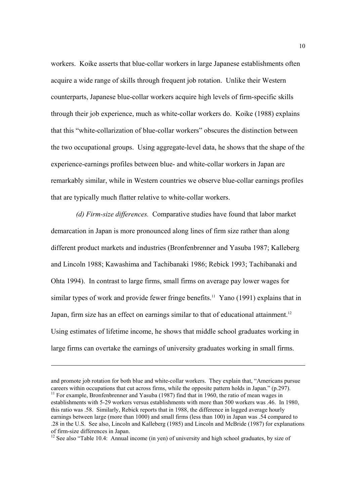workers. Koike asserts that blue-collar workers in large Japanese establishments often acquire a wide range of skills through frequent job rotation. Unlike their Western counterparts, Japanese blue-collar workers acquire high levels of firm-specific skills through their job experience, much as white-collar workers do. Koike (1988) explains that this "white-collarization of blue-collar workers" obscures the distinction between the two occupational groups. Using aggregate-level data, he shows that the shape of the experience-earnings profiles between blue- and white-collar workers in Japan are remarkably similar, while in Western countries we observe blue-collar earnings profiles that are typically much flatter relative to white-collar workers.

 *(d) Firm-size differences.* Comparative studies have found that labor market demarcation in Japan is more pronounced along lines of firm size rather than along different product markets and industries (Bronfenbrenner and Yasuba 1987; Kalleberg and Lincoln 1988; Kawashima and Tachibanaki 1986; Rebick 1993; Tachibanaki and Ohta 1994). In contrast to large firms, small firms on average pay lower wages for similar types of work and provide fewer fringe benefits.<sup>11</sup> Yano (1991) explains that in Japan, firm size has an effect on earnings similar to that of educational attainment.<sup>12</sup> Using estimates of lifetime income, he shows that middle school graduates working in large firms can overtake the earnings of university graduates working in small firms.

1

 $12$  See also "Table 10.4: Annual income (in yen) of university and high school graduates, by size of

and promote job rotation for both blue and white-collar workers. They explain that, "Americans pursue careers within occupations that cut across firms, while the opposite pattern holds in Japan." (p.297).  $11$  For example, Bronfenbrenner and Yasuba (1987) find that in 1960, the ratio of mean wages in establishments with 5-29 workers versus establishments with more than 500 workers was .46. In 1980, this ratio was .58. Similarly, Rebick reports that in 1988, the difference in logged average hourly earnings between large (more than 1000) and small firms (less than 100) in Japan was .54 compared to .28 in the U.S. See also, Lincoln and Kalleberg (1985) and Lincoln and McBride (1987) for explanations of firm-size differences in Japan.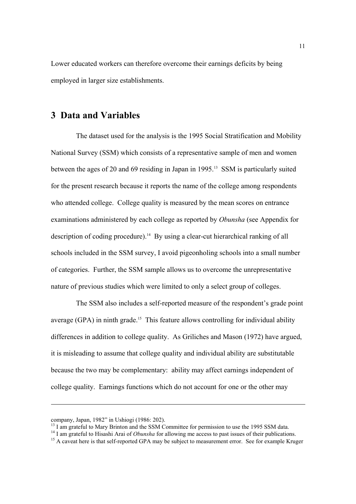Lower educated workers can therefore overcome their earnings deficits by being employed in larger size establishments.

## **3 Data and Variables**

 The dataset used for the analysis is the 1995 Social Stratification and Mobility National Survey (SSM) which consists of a representative sample of men and women between the ages of 20 and 69 residing in Japan in 1995.<sup>13</sup> SSM is particularly suited for the present research because it reports the name of the college among respondents who attended college. College quality is measured by the mean scores on entrance examinations administered by each college as reported by *Obunsha* (see Appendix for description of coding procedure).14 By using a clear-cut hierarchical ranking of all schools included in the SSM survey, I avoid pigeonholing schools into a small number of categories. Further, the SSM sample allows us to overcome the unrepresentative nature of previous studies which were limited to only a select group of colleges.

 The SSM also includes a self-reported measure of the respondent's grade point average (GPA) in ninth grade.<sup>15</sup> This feature allows controlling for individual ability differences in addition to college quality. As Griliches and Mason (1972) have argued, it is misleading to assume that college quality and individual ability are substitutable because the two may be complementary: ability may affect earnings independent of college quality. Earnings functions which do not account for one or the other may

company, Japan, 1982" in Ushiogi (1986: 202).

<sup>&</sup>lt;sup>13</sup> I am grateful to Mary Brinton and the SSM Committee for permission to use the 1995 SSM data.<br><sup>14</sup> I am grateful to Hisashi Arai of *Obunsha* for allowing me access to past issues of their publications.

<sup>&</sup>lt;sup>15</sup> A caveat here is that self-reported GPA may be subject to measurement error. See for example Kruger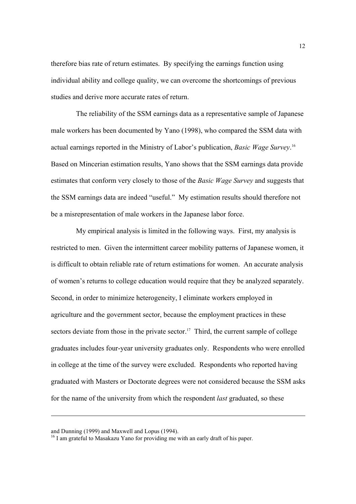therefore bias rate of return estimates. By specifying the earnings function using individual ability and college quality, we can overcome the shortcomings of previous studies and derive more accurate rates of return.

 The reliability of the SSM earnings data as a representative sample of Japanese male workers has been documented by Yano (1998), who compared the SSM data with actual earnings reported in the Ministry of Labor's publication, *Basic Wage Survey*. 16 Based on Mincerian estimation results, Yano shows that the SSM earnings data provide estimates that conform very closely to those of the *Basic Wage Survey* and suggests that the SSM earnings data are indeed "useful." My estimation results should therefore not be a misrepresentation of male workers in the Japanese labor force.

 My empirical analysis is limited in the following ways. First, my analysis is restricted to men. Given the intermittent career mobility patterns of Japanese women, it is difficult to obtain reliable rate of return estimations for women. An accurate analysis of women's returns to college education would require that they be analyzed separately. Second, in order to minimize heterogeneity, I eliminate workers employed in agriculture and the government sector, because the employment practices in these sectors deviate from those in the private sector.<sup>17</sup> Third, the current sample of college graduates includes four-year university graduates only. Respondents who were enrolled in college at the time of the survey were excluded. Respondents who reported having graduated with Masters or Doctorate degrees were not considered because the SSM asks for the name of the university from which the respondent *last* graduated, so these

and Dunning (1999) and Maxwell and Lopus (1994).

<sup>&</sup>lt;sup>16</sup> I am grateful to Masakazu Yano for providing me with an early draft of his paper.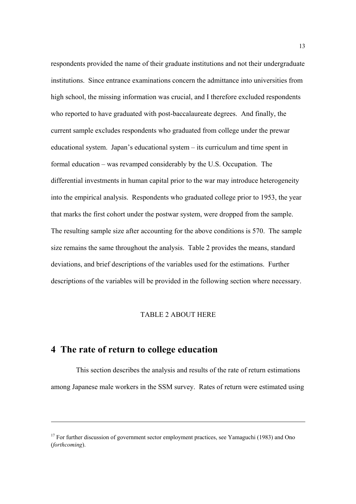respondents provided the name of their graduate institutions and not their undergraduate institutions. Since entrance examinations concern the admittance into universities from high school, the missing information was crucial, and I therefore excluded respondents who reported to have graduated with post-baccalaureate degrees. And finally, the current sample excludes respondents who graduated from college under the prewar educational system. Japan's educational system – its curriculum and time spent in formal education – was revamped considerably by the U.S. Occupation. The differential investments in human capital prior to the war may introduce heterogeneity into the empirical analysis. Respondents who graduated college prior to 1953, the year that marks the first cohort under the postwar system, were dropped from the sample. The resulting sample size after accounting for the above conditions is 570. The sample size remains the same throughout the analysis. Table 2 provides the means, standard deviations, and brief descriptions of the variables used for the estimations. Further descriptions of the variables will be provided in the following section where necessary.

### TABLE 2 ABOUT HERE

### **4 The rate of return to college education**

<u>.</u>

 This section describes the analysis and results of the rate of return estimations among Japanese male workers in the SSM survey. Rates of return were estimated using

 $17$  For further discussion of government sector employment practices, see Yamaguchi (1983) and Ono (*forthcoming*).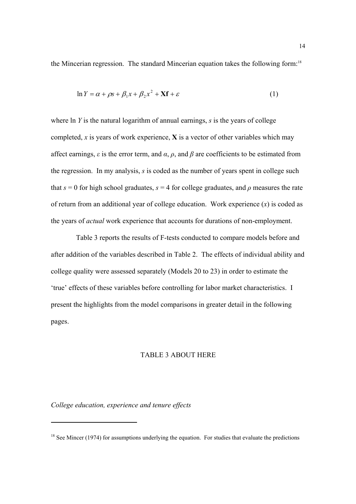the Mincerian regression. The standard Mincerian equation takes the following form:18

$$
\ln Y = \alpha + \rho s + \beta_1 x + \beta_2 x^2 + \mathbf{X} \mathbf{f} + \varepsilon \tag{1}
$$

where ln *Y* is the natural logarithm of annual earnings, *s* is the years of college completed, *x* is years of work experience, **X** is a vector of other variables which may affect earnings,  $\varepsilon$  is the error term, and  $\alpha$ ,  $\rho$ , and  $\beta$  are coefficients to be estimated from the regression. In my analysis, *s* is coded as the number of years spent in college such that  $s = 0$  for high school graduates,  $s = 4$  for college graduates, and  $\rho$  measures the rate of return from an additional year of college education. Work experience (*x*) is coded as the years of *actual* work experience that accounts for durations of non-employment.

 Table 3 reports the results of F-tests conducted to compare models before and after addition of the variables described in Table 2. The effects of individual ability and college quality were assessed separately (Models 20 to 23) in order to estimate the 'true' effects of these variables before controlling for labor market characteristics. I present the highlights from the model comparisons in greater detail in the following pages.

### TABLE 3 ABOUT HERE

*College education, experience and tenure effects* 

 $18$  See Mincer (1974) for assumptions underlying the equation. For studies that evaluate the predictions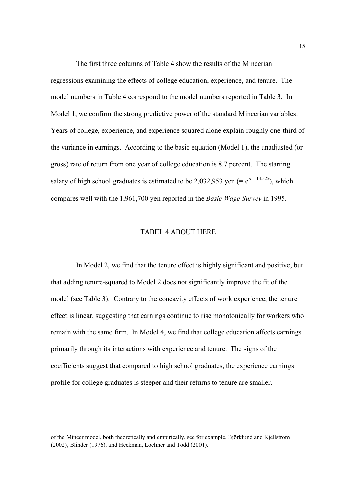The first three columns of Table 4 show the results of the Mincerian regressions examining the effects of college education, experience, and tenure. The model numbers in Table 4 correspond to the model numbers reported in Table 3. In Model 1, we confirm the strong predictive power of the standard Mincerian variables: Years of college, experience, and experience squared alone explain roughly one-third of the variance in earnings. According to the basic equation (Model 1), the unadjusted (or gross) rate of return from one year of college education is 8.7 percent. The starting salary of high school graduates is estimated to be 2,032,953 yen (=  $e^{\alpha}$ = 14.525), which compares well with the 1,961,700 yen reported in the *Basic Wage Survey* in 1995.

#### TABEL 4 ABOUT HERE

 In Model 2, we find that the tenure effect is highly significant and positive, but that adding tenure-squared to Model 2 does not significantly improve the fit of the model (see Table 3). Contrary to the concavity effects of work experience, the tenure effect is linear, suggesting that earnings continue to rise monotonically for workers who remain with the same firm. In Model 4, we find that college education affects earnings primarily through its interactions with experience and tenure. The signs of the coefficients suggest that compared to high school graduates, the experience earnings profile for college graduates is steeper and their returns to tenure are smaller.

<u>.</u>

of the Mincer model, both theoretically and empirically, see for example, Björklund and Kjellström (2002), Blinder (1976), and Heckman, Lochner and Todd (2001).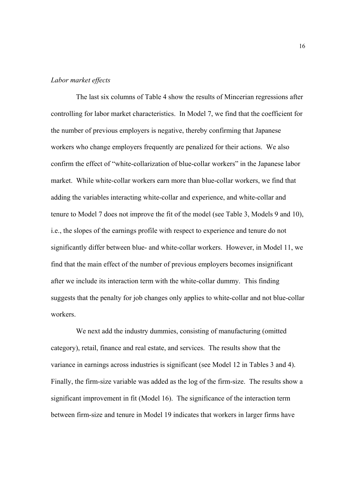### *Labor market effects*

 The last six columns of Table 4 show the results of Mincerian regressions after controlling for labor market characteristics. In Model 7, we find that the coefficient for the number of previous employers is negative, thereby confirming that Japanese workers who change employers frequently are penalized for their actions. We also confirm the effect of "white-collarization of blue-collar workers" in the Japanese labor market. While white-collar workers earn more than blue-collar workers, we find that adding the variables interacting white-collar and experience, and white-collar and tenure to Model 7 does not improve the fit of the model (see Table 3, Models 9 and 10), i.e., the slopes of the earnings profile with respect to experience and tenure do not significantly differ between blue- and white-collar workers. However, in Model 11, we find that the main effect of the number of previous employers becomes insignificant after we include its interaction term with the white-collar dummy. This finding suggests that the penalty for job changes only applies to white-collar and not blue-collar workers.

 We next add the industry dummies, consisting of manufacturing (omitted category), retail, finance and real estate, and services. The results show that the variance in earnings across industries is significant (see Model 12 in Tables 3 and 4). Finally, the firm-size variable was added as the log of the firm-size. The results show a significant improvement in fit (Model 16). The significance of the interaction term between firm-size and tenure in Model 19 indicates that workers in larger firms have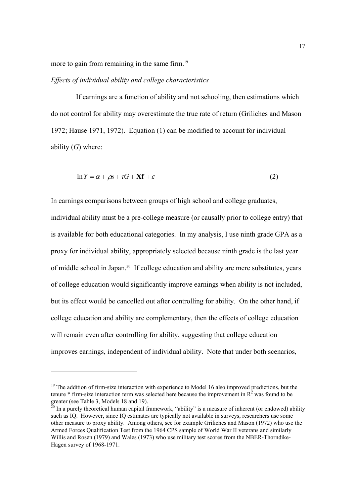more to gain from remaining in the same firm.<sup>19</sup>

#### *Effects of individual ability and college characteristics*

 If earnings are a function of ability and not schooling, then estimations which do not control for ability may overestimate the true rate of return (Griliches and Mason 1972; Hause 1971, 1972). Equation (1) can be modified to account for individual ability (*G*) where:

$$
\ln Y = \alpha + \rho s + \tau G + \mathbf{X} \mathbf{f} + \varepsilon \tag{2}
$$

In earnings comparisons between groups of high school and college graduates, individual ability must be a pre-college measure (or causally prior to college entry) that is available for both educational categories. In my analysis, I use ninth grade GPA as a proxy for individual ability, appropriately selected because ninth grade is the last year of middle school in Japan.20 If college education and ability are mere substitutes, years of college education would significantly improve earnings when ability is not included, but its effect would be cancelled out after controlling for ability. On the other hand, if college education and ability are complementary, then the effects of college education will remain even after controlling for ability, suggesting that college education improves earnings, independent of individual ability. Note that under both scenarios,

 $19$  The addition of firm-size interaction with experience to Model 16 also improved predictions, but the tenure  $*$  firm-size interaction term was selected here because the improvement in  $\mathbb{R}^2$  was found to be greater (see Table 3, Models 18 and 19).

 $20$  In a purely theoretical human capital framework, "ability" is a measure of inherent (or endowed) ability such as IQ. However, since IQ estimates are typically not available in surveys, researchers use some other measure to proxy ability. Among others, see for example Griliches and Mason (1972) who use the Armed Forces Qualification Test from the 1964 CPS sample of World War II veterans and similarly Willis and Rosen (1979) and Wales (1973) who use military test scores from the NBER-Thorndike-Hagen survey of 1968-1971.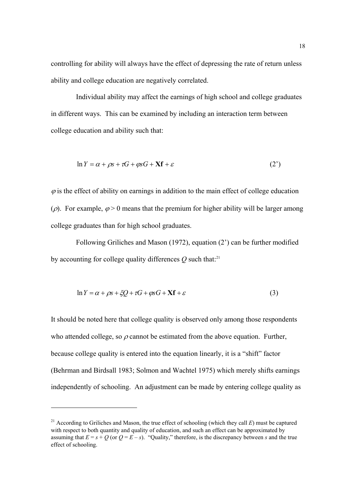controlling for ability will always have the effect of depressing the rate of return unless ability and college education are negatively correlated.

 Individual ability may affect the earnings of high school and college graduates in different ways. This can be examined by including an interaction term between college education and ability such that:

$$
\ln Y = \alpha + \rho s + \tau G + \varphi s G + \mathbf{X} \mathbf{f} + \varepsilon \tag{2'}
$$

 $\varphi$  is the effect of ability on earnings in addition to the main effect of college education ( $\rho$ ). For example,  $\varphi > 0$  means that the premium for higher ability will be larger among college graduates than for high school graduates.

 Following Griliches and Mason (1972), equation (2') can be further modified by accounting for college quality differences  $\hat{O}$  such that:<sup>21</sup>

$$
\ln Y = \alpha + \rho s + \xi Q + \tau G + \rho s G + \mathbf{X} \mathbf{f} + \varepsilon \tag{3}
$$

It should be noted here that college quality is observed only among those respondents who attended college, so  $\rho$  cannot be estimated from the above equation. Further, because college quality is entered into the equation linearly, it is a "shift" factor (Behrman and Birdsall 1983; Solmon and Wachtel 1975) which merely shifts earnings independently of schooling. An adjustment can be made by entering college quality as

<sup>&</sup>lt;sup>21</sup> According to Griliches and Mason, the true effect of schooling (which they call  $E$ ) must be captured with respect to both quantity and quality of education, and such an effect can be approximated by assuming that  $E = s + Q$  (or  $Q = E - s$ ). "Quality," therefore, is the discrepancy between *s* and the true effect of schooling.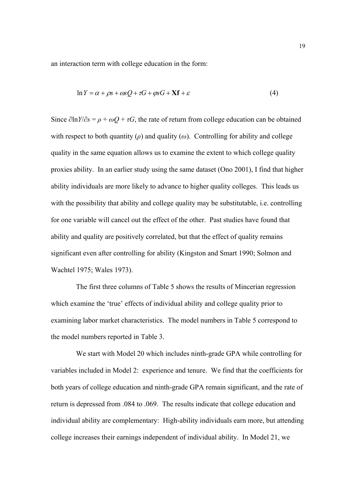an interaction term with college education in the form:

$$
\ln Y = \alpha + \rho s + \omega s Q + \tau G + \varphi s G + \mathbf{X} \mathbf{f} + \varepsilon \tag{4}
$$

Since  $\partial \ln Y / \partial s = \rho + \omega Q + \tau G$ , the rate of return from college education can be obtained with respect to both quantity  $(\rho)$  and quality  $(\omega)$ . Controlling for ability and college quality in the same equation allows us to examine the extent to which college quality proxies ability. In an earlier study using the same dataset (Ono 2001), I find that higher ability individuals are more likely to advance to higher quality colleges. This leads us with the possibility that ability and college quality may be substitutable, i.e. controlling for one variable will cancel out the effect of the other. Past studies have found that ability and quality are positively correlated, but that the effect of quality remains significant even after controlling for ability (Kingston and Smart 1990; Solmon and Wachtel 1975; Wales 1973).

 The first three columns of Table 5 shows the results of Mincerian regression which examine the 'true' effects of individual ability and college quality prior to examining labor market characteristics. The model numbers in Table 5 correspond to the model numbers reported in Table 3.

 We start with Model 20 which includes ninth-grade GPA while controlling for variables included in Model 2: experience and tenure. We find that the coefficients for both years of college education and ninth-grade GPA remain significant, and the rate of return is depressed from .084 to .069. The results indicate that college education and individual ability are complementary: High-ability individuals earn more, but attending college increases their earnings independent of individual ability. In Model 21, we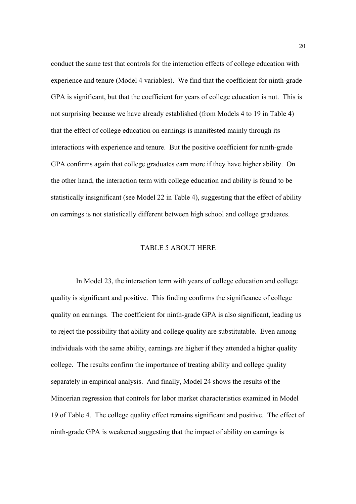conduct the same test that controls for the interaction effects of college education with experience and tenure (Model 4 variables). We find that the coefficient for ninth-grade GPA is significant, but that the coefficient for years of college education is not. This is not surprising because we have already established (from Models 4 to 19 in Table 4) that the effect of college education on earnings is manifested mainly through its interactions with experience and tenure. But the positive coefficient for ninth-grade GPA confirms again that college graduates earn more if they have higher ability. On the other hand, the interaction term with college education and ability is found to be statistically insignificant (see Model 22 in Table 4), suggesting that the effect of ability on earnings is not statistically different between high school and college graduates.

### TABLE 5 ABOUT HERE

 In Model 23, the interaction term with years of college education and college quality is significant and positive. This finding confirms the significance of college quality on earnings. The coefficient for ninth-grade GPA is also significant, leading us to reject the possibility that ability and college quality are substitutable. Even among individuals with the same ability, earnings are higher if they attended a higher quality college. The results confirm the importance of treating ability and college quality separately in empirical analysis. And finally, Model 24 shows the results of the Mincerian regression that controls for labor market characteristics examined in Model 19 of Table 4. The college quality effect remains significant and positive. The effect of ninth-grade GPA is weakened suggesting that the impact of ability on earnings is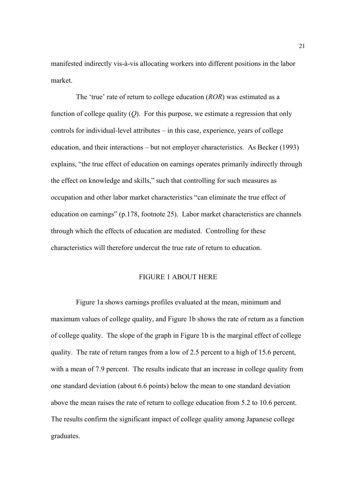manifested indirectly vis-à-vis allocating workers into different positions in the labor market.

 The 'true' rate of return to college education (*ROR*) was estimated as a function of college quality (*Q*). For this purpose, we estimate a regression that only controls for individual-level attributes – in this case, experience, years of college education, and their interactions – but not employer characteristics. As Becker (1993) explains, "the true effect of education on earnings operates primarily indirectly through the effect on knowledge and skills," such that controlling for such measures as occupation and other labor market characteristics "can eliminate the true effect of education on earnings" (p.178, footnote 25). Labor market characteristics are channels through which the effects of education are mediated. Controlling for these characteristics will therefore undercut the true rate of return to education.

#### FIGURE 1 ABOUT HERE

 Figure 1a shows earnings profiles evaluated at the mean, minimum and maximum values of college quality, and Figure 1b shows the rate of return as a function of college quality. The slope of the graph in Figure 1b is the marginal effect of college quality. The rate of return ranges from a low of 2.5 percent to a high of 15.6 percent, with a mean of 7.9 percent. The results indicate that an increase in college quality from one standard deviation (about 6.6 points) below the mean to one standard deviation above the mean raises the rate of return to college education from 5.2 to 10.6 percent. The results confirm the significant impact of college quality among Japanese college graduates.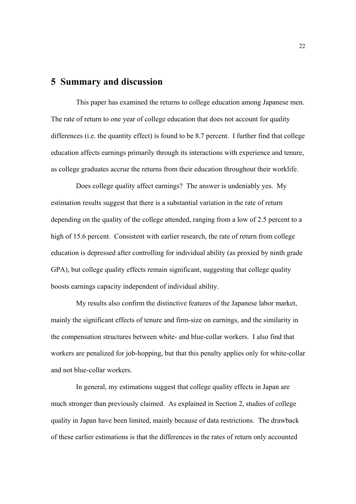### **5 Summary and discussion**

 This paper has examined the returns to college education among Japanese men. The rate of return to one year of college education that does not account for quality differences (i.e. the quantity effect) is found to be 8.7 percent. I further find that college education affects earnings primarily through its interactions with experience and tenure, as college graduates accrue the returns from their education throughout their worklife.

 Does college quality affect earnings? The answer is undeniably yes. My estimation results suggest that there is a substantial variation in the rate of return depending on the quality of the college attended, ranging from a low of 2.5 percent to a high of 15.6 percent. Consistent with earlier research, the rate of return from college education is depressed after controlling for individual ability (as proxied by ninth grade GPA), but college quality effects remain significant, suggesting that college quality boosts earnings capacity independent of individual ability.

 My results also confirm the distinctive features of the Japanese labor market, mainly the significant effects of tenure and firm-size on earnings, and the similarity in the compensation structures between white- and blue-collar workers. I also find that workers are penalized for job-hopping, but that this penalty applies only for white-collar and not blue-collar workers.

 In general, my estimations suggest that college quality effects in Japan are much stronger than previously claimed. As explained in Section 2, studies of college quality in Japan have been limited, mainly because of data restrictions. The drawback of these earlier estimations is that the differences in the rates of return only accounted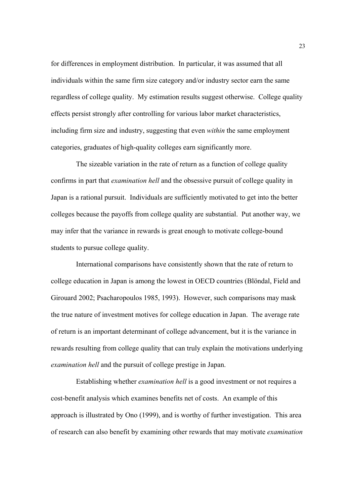for differences in employment distribution. In particular, it was assumed that all individuals within the same firm size category and/or industry sector earn the same regardless of college quality. My estimation results suggest otherwise. College quality effects persist strongly after controlling for various labor market characteristics, including firm size and industry, suggesting that even *within* the same employment categories, graduates of high-quality colleges earn significantly more.

 The sizeable variation in the rate of return as a function of college quality confirms in part that *examination hell* and the obsessive pursuit of college quality in Japan is a rational pursuit. Individuals are sufficiently motivated to get into the better colleges because the payoffs from college quality are substantial. Put another way, we may infer that the variance in rewards is great enough to motivate college-bound students to pursue college quality.

 International comparisons have consistently shown that the rate of return to college education in Japan is among the lowest in OECD countries (Blöndal, Field and Girouard 2002; Psacharopoulos 1985, 1993). However, such comparisons may mask the true nature of investment motives for college education in Japan. The average rate of return is an important determinant of college advancement, but it is the variance in rewards resulting from college quality that can truly explain the motivations underlying *examination hell* and the pursuit of college prestige in Japan.

 Establishing whether *examination hell* is a good investment or not requires a cost-benefit analysis which examines benefits net of costs. An example of this approach is illustrated by Ono (1999), and is worthy of further investigation. This area of research can also benefit by examining other rewards that may motivate *examination*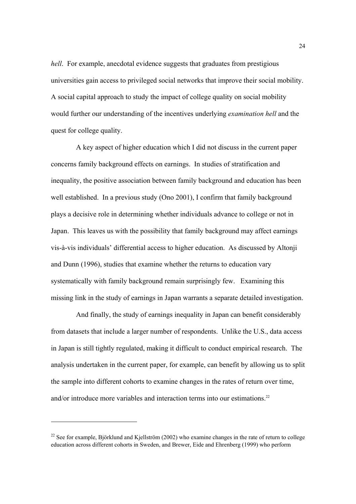*hell*. For example, anecdotal evidence suggests that graduates from prestigious universities gain access to privileged social networks that improve their social mobility. A social capital approach to study the impact of college quality on social mobility would further our understanding of the incentives underlying *examination hell* and the quest for college quality.

 A key aspect of higher education which I did not discuss in the current paper concerns family background effects on earnings. In studies of stratification and inequality, the positive association between family background and education has been well established. In a previous study (Ono 2001), I confirm that family background plays a decisive role in determining whether individuals advance to college or not in Japan. This leaves us with the possibility that family background may affect earnings vis-à-vis individuals' differential access to higher education. As discussed by Altonji and Dunn (1996), studies that examine whether the returns to education vary systematically with family background remain surprisingly few. Examining this missing link in the study of earnings in Japan warrants a separate detailed investigation.

 And finally, the study of earnings inequality in Japan can benefit considerably from datasets that include a larger number of respondents. Unlike the U.S., data access in Japan is still tightly regulated, making it difficult to conduct empirical research. The analysis undertaken in the current paper, for example, can benefit by allowing us to split the sample into different cohorts to examine changes in the rates of return over time, and/or introduce more variables and interaction terms into our estimations.<sup>22</sup>

<sup>&</sup>lt;sup>22</sup> See for example, Björklund and Kjellström (2002) who examine changes in the rate of return to college education across different cohorts in Sweden, and Brewer, Eide and Ehrenberg (1999) who perform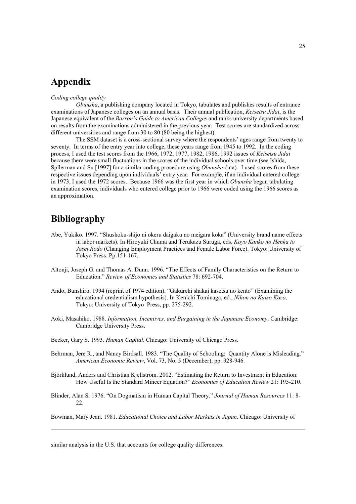### **Appendix**

#### *Coding college quality*

*Obunsha*, a publishing company located in Tokyo, tabulates and publishes results of entrance examinations of Japanese colleges on an annual basis. Their annual publication, *Keisetsu Jidai*, is the Japanese equivalent of the *Barron's Guide to American Colleges* and ranks university departments based on results from the examinations administered in the previous year. Test scores are standardized across different universities and range from 30 to 80 (80 being the highest).

 The SSM dataset is a cross-sectional survey where the respondents' ages range from twenty to seventy. In terms of the entry year into college, these years range from 1945 to 1992. In the coding process, I used the test scores from the 1966, 1972, 1977, 1982, 1986, 1992 issues of *Keisetsu Jidai* because there were small fluctuations in the scores of the individual schools over time (see Ishida, Spilerman and Su [1997] for a similar coding procedure using *Obunsha* data). I used scores from these respective issues depending upon individuals' entry year. For example, if an individual entered college in 1973, I used the 1972 scores. Because 1966 was the first year in which *Obunsha* began tabulating examination scores, individuals who entered college prior to 1966 were coded using the 1966 scores as an approximation.

## **Bibliography**

<u>.</u>

- Abe, Yukiko. 1997. "Shushoku-shijo ni okeru daigaku no meigara koka" (University brand name effects in labor markets). In Hiroyuki Chuma and Terukazu Suruga, eds. *Koyo Kanko no Henka to Josei Rodo* (Changing Employment Practices and Female Labor Force). Tokyo: University of Tokyo Press. Pp.151-167.
- Altonji, Joseph G. and Thomas A. Dunn. 1996. "The Effects of Family Characteristics on the Return to Education." *Review of Economics and Statistics* 78: 692-704.
- Ando, Bunshiro. 1994 (reprint of 1974 edition). "Gakureki shakai kasetsu no kento" (Examining the educational credentialism hypothesis). In Kenichi Tominaga, ed., *Nihon no Kaiso Kozo*. Tokyo: University of Tokyo Press, pp. 275-292.
- Aoki, Masahiko. 1988. *Information, Incentives, and Bargaining in the Japanese Economy*. Cambridge: Cambridge University Press.
- Becker, Gary S. 1993. *Human Capital*. Chicago: University of Chicago Press.
- Behrman, Jere R., and Nancy Birdsall. 1983. "The Quality of Schooling: Quantity Alone is Misleading." *American Economic Review*, Vol. 73, No. 5 (December), pp. 928-946.
- Björklund, Anders and Christian Kjellström. 2002. "Estimating the Return to Investment in Education: How Useful Is the Standard Mincer Equation?" *Economics of Education Review* 21: 195-210.
- Blinder, Alan S. 1976. "On Dogmatism in Human Capital Theory." *Journal of Human Resources* 11: 8- 22.

Bowman, Mary Jean. 1981. *Educational Choice and Labor Markets in Japan*. Chicago: University of

similar analysis in the U.S. that accounts for college quality differences.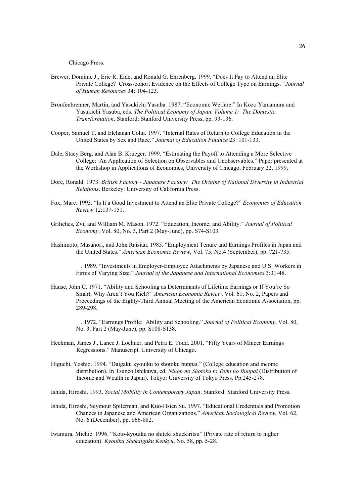Chicago Press.

- Brewer, Dominic J., Eric R. Eide, and Ronald G. Ehrenberg. 1999. "Does It Pay to Attend an Elite Private College? Cross-cohort Evidence on the Effects of College Type on Earnings." *Journal of Human Resources* 34: 104-123.
- Bronfenbrenner, Martin, and Yasukichi Yasuba. 1987. "Economic Welfare." In Kozo Yamamura and Yasukichi Yasuba, eds. *The Political Economy of Japan, Volume 1: The Domestic Transformation*. Stanford: Stanford University Press, pp. 93-136.
- Cooper, Samuel T. and Elchanan Cohn. 1997. "Internal Rates of Return to College Education in the United States by Sex and Race." *Journal of Education Finance* 23: 101-133.
- Dale, Stacy Berg, and Alan B. Krueger. 1999. "Estimating the Payoff to Attending a More Selective College: An Application of Selection on Observables and Unobservables." Paper presented at the Workshop in Applications of Economics, University of Chicago, February 22, 1999.
- Dore, Ronald. 1973. *British Factory Japanese Factory: The Origins of National Diversity in Industrial Relations*. Berkeley: University of California Press.
- Fox, Marc. 1993. "Is It a Good Investment to Attend an Elite Private College?" *Economics of Education Review* 12:137-151.
- Griliches, Zvi, and William M. Mason. 1972. "Education, Income, and Ability." *Journal of Political Economy*, Vol. 80, No. 3, Part 2 (May-June), pp. S74-S103.
- Hashimoto, Masanori, and John Raisian. 1985. "Employment Tenure and Earnings Profiles in Japan and the United States." *American Economic Review*, Vol. 75, No.4 (September), pp. 721-735.
	- \_\_\_\_\_\_\_\_\_\_. 1989. "Investments in Employer-Employee Attachments by Japanese and U.S. Workers in Firms of Varying Size." *Journal of the Japanese and International Economies* 3:31-48.
- Hause, John C. 1971. "Ability and Schooling as Determinants of Lifetime Earnings or If You're So Smart, Why Aren't You Rich?" *American Economic Review*, Vol. 61, No. 2, Papers and Proceedings of the Eighty-Third Annual Meeting of the American Economic Association, pp. 289-298.
	- \_\_\_\_\_\_\_\_\_\_. 1972. "Earnings Profile: Ability and Schooling." *Journal of Political Economy*, Vol. 80, No. 3, Part 2 (May-June), pp. S108-S138.
- Heckman, James J., Lance J. Lochner, and Petra E. Todd. 2001. "Fifty Years of Mincer Earnings Regressions." Manuscript. University of Chicago.
- Higuchi, Yoshio. 1994. "Daigaku kyouiku to shotoku bunpai." (College education and income distribution). In Tsuneo Ishikawa, ed. *Nihon no Shotoku to Tomi no Bunpai* (Distribution of Income and Wealth in Japan). Tokyo: University of Tokyo Press. Pp.245-278.
- Ishida, Hiroshi. 1993. *Social Mobility in Contemporary Japan*. Stanford: Stanford University Press.
- Ishida, Hiroshi, Seymour Spilerman, and Kuo-Hsien Su. 1997. "Educational Credentials and Promotion Chances in Japanese and American Organizations." *American Sociological Review*, Vol. 62, No. 6 (December), pp. 866-882.
- Iwamura, Michie. 1996. "Koto-kyouiku no shiteki shuekiritsu" (Private rate of return to higher education). *Kyouiku Shakaigaku Kenkyu*, No. 58, pp. 5-28.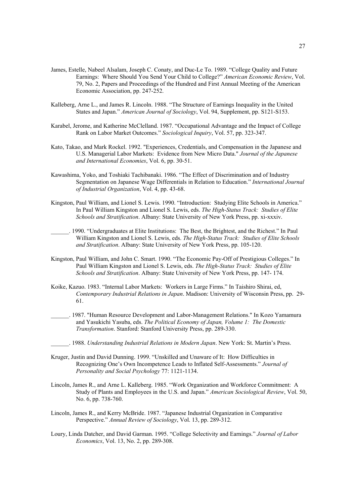- James, Estelle, Nabeel Alsalam, Joseph C. Conaty, and Duc-Le To. 1989. "College Quality and Future Earnings: Where Should You Send Your Child to College?" *American Economic Review*, Vol. 79, No. 2, Papers and Proceedings of the Hundred and First Annual Meeting of the American Economic Association, pp. 247-252.
- Kalleberg, Arne L., and James R. Lincoln. 1988. "The Structure of Earnings Inequality in the United States and Japan." *American Journal of Sociology*, Vol. 94, Supplement, pp. S121-S153.
- Karabel, Jerome, and Katherine McClelland. 1987. "Occupational Advantage and the Impact of College Rank on Labor Market Outcomes." *Sociological Inquiry*, Vol. 57, pp. 323-347.
- Kato, Takao, and Mark Rockel. 1992. "Experiences, Credentials, and Compensation in the Japanese and U.S. Managerial Labor Markets: Evidence from New Micro Data." *Journal of the Japanese and International Economies*, Vol. 6, pp. 30-51.
- Kawashima, Yoko, and Toshiaki Tachibanaki. 1986. "The Effect of Discrimination and of Industry Segmentation on Japanese Wage Differentials in Relation to Education." *International Journal of Industrial Organization*, Vol. 4, pp. 43-68.
- Kingston, Paul William, and Lionel S. Lewis. 1990. "Introduction: Studying Elite Schools in America." In Paul William Kingston and Lionel S. Lewis, eds. *The High-Status Track: Studies of Elite Schools and Stratification*. Albany: State University of New York Press, pp. xi-xxxiv.
- \_\_\_\_\_\_. 1990. "Undergraduates at Elite Institutions: The Best, the Brightest, and the Richest." In Paul William Kingston and Lionel S. Lewis, eds. *The High-Status Track: Studies of Elite Schools and Stratification*. Albany: State University of New York Press, pp. 105-120.
- Kingston, Paul William, and John C. Smart. 1990. "The Economic Pay-Off of Prestigious Colleges." In Paul William Kingston and Lionel S. Lewis, eds. *The High-Status Track: Studies of Elite Schools and Stratification*. Albany: State University of New York Press, pp. 147- 174.
- Koike, Kazuo. 1983. "Internal Labor Markets: Workers in Large Firms." In Taishiro Shirai, ed, *Contemporary Industrial Relations in Japan*. Madison: University of Wisconsin Press, pp. 29- 61.
- \_\_\_\_\_\_. 1987. "Human Resource Development and Labor-Management Relations." In Kozo Yamamura and Yasukichi Yasuba, eds. *The Political Economy of Japan, Volume 1: The Domestic Transformation*. Stanford: Stanford University Press, pp. 289-330.
	- \_\_\_\_\_\_. 1988. *Understanding Industrial Relations in Modern Japan*. New York: St. Martin's Press.
- Kruger, Justin and David Dunning. 1999. "Unskilled and Unaware of It: How Difficulties in Recognizing One's Own Incompetence Leads to Inflated Self-Assessments." *Journal of Personality and Social Psychology* 77: 1121-1134.
- Lincoln, James R., and Arne L. Kalleberg. 1985. "Work Organization and Workforce Commitment: A Study of Plants and Employees in the U.S. and Japan." *American Sociological Review*, Vol. 50, No. 6, pp. 738-760.
- Lincoln, James R., and Kerry McBride. 1987. "Japanese Industrial Organization in Comparative Perspective." *Annual Review of Sociology*, Vol. 13, pp. 289-312.
- Loury, Linda Datcher, and David Garman. 1995. "College Selectivity and Earnings." *Journal of Labor Economics*, Vol. 13, No. 2, pp. 289-308.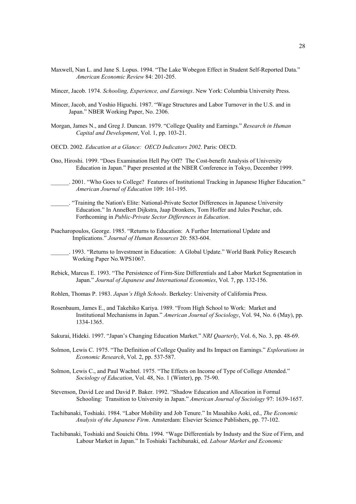- Maxwell, Nan L. and Jane S. Lopus. 1994. "The Lake Wobegon Effect in Student Self-Reported Data." *American Economic Review* 84: 201-205.
- Mincer, Jacob. 1974. *Schooling, Experience, and Earnings*. New York: Columbia University Press.
- Mincer, Jacob, and Yoshio Higuchi. 1987. "Wage Structures and Labor Turnover in the U.S. and in Japan." NBER Working Paper, No. 2306.
- Morgan, James N., and Greg J. Duncan. 1979. "College Quality and Earnings." *Research in Human Capital and Development*, Vol. 1, pp. 103-21.
- OECD. 2002. *Education at a Glance: OECD Indicators 2002*. Paris: OECD.
- Ono, Hiroshi. 1999. "Does Examination Hell Pay Off? The Cost-benefit Analysis of University Education in Japan." Paper presented at the NBER Conference in Tokyo, December 1999.
- \_\_\_\_\_\_. 2001. "Who Goes to College? Features of Institutional Tracking in Japanese Higher Education." *American Journal of Education* 109: 161-195.
- \_\_\_\_\_\_. "Training the Nation's Elite: National-Private Sector Differences in Japanese University Education." In AnneBert Dijkstra, Jaap Dronkers, Tom Hoffer and Jules Peschar, eds. Forthcoming in *Public-Private Sector Differences in Education*.
- Psacharopoulos, George. 1985. "Returns to Education: A Further International Update and Implications." *Journal of Human Resources* 20: 583-604.
- 1993. "Returns to Investment in Education: A Global Update." World Bank Policy Research Working Paper No.WPS1067.
- Rebick, Marcus E. 1993. "The Persistence of Firm-Size Differentials and Labor Market Segmentation in Japan." *Journal of Japanese and International Economies*, Vol. 7, pp. 132-156.
- Rohlen, Thomas P. 1983. *Japan's High Schools*. Berkeley: University of California Press.
- Rosenbaum, James E., and Takehiko Kariya. 1989. "From High School to Work: Market and Institutional Mechanisms in Japan." *American Journal of Sociology*, Vol. 94, No. 6 (May), pp. 1334-1365.
- Sakurai, Hideki. 1997. "Japan's Changing Education Market." *NRI Quarterly*, Vol. 6, No. 3, pp. 48-69.
- Solmon, Lewis C. 1975. "The Definition of College Quality and Its Impact on Earnings." *Explorations in Economic Research*, Vol. 2, pp. 537-587.
- Solmon, Lewis C., and Paul Wachtel. 1975. "The Effects on Income of Type of College Attended." *Sociology of Education*, Vol. 48, No. 1 (Winter), pp. 75-90.
- Stevenson, David Lee and David P. Baker. 1992. "Shadow Education and Allocation in Formal Schooling: Transition to University in Japan." *American Journal of Sociology* 97: 1639-1657.
- Tachibanaki, Toshiaki. 1984. "Labor Mobility and Job Tenure." In Masahiko Aoki, ed., *The Economic Analysis of the Japanese Firm*. Amsterdam: Elsevier Science Publishers, pp. 77-102.
- Tachibanaki, Toshiaki and Souichi Ohta. 1994. "Wage Differentials by Industy and the Size of Firm, and Labour Market in Japan." In Toshiaki Tachibanaki, ed. *Labour Market and Economic*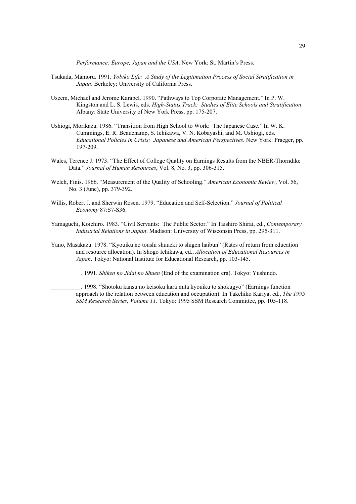*Performance: Europe, Japan and the USA*. New York: St. Martin's Press.

- Tsukada, Mamoru. 1991. *Yobiko Life: A Study of the Legitimation Process of Social Stratification in Japan*. Berkeley: University of California Press.
- Useem, Michael and Jerome Karabel. 1990. "Pathways to Top Corporate Management." In P. W. Kingston and L. S. Lewis, eds. *High-Status Track: Studies of Elite Schools and Stratification*. Albany: State University of New York Press, pp. 175-207.
- Ushiogi, Morikazu. 1986. "Transition from High School to Work: The Japanese Case." In W. K. Cummings, E. R. Beauchamp, S. Ichikawa, V. N. Kobayashi, and M. Ushiogi, eds. *Educational Policies in Crisis: Japanese and American Perspectives*. New York: Praeger, pp. 197-209.
- Wales, Terence J. 1973. "The Effect of College Quality on Earnings Results from the NBER-Thorndike Data." *Journal of Human Resources*, Vol. 8, No. 3, pp. 306-315.
- Welch, Finis. 1966. "Measurement of the Quality of Schooling." *American Economic Review*, Vol. 56, No. 3 (June), pp. 379-392.
- Willis, Robert J. and Sherwin Rosen. 1979. "Education and Self-Selection." *Journal of Political Economy* 87:S7-S36.
- Yamaguchi, Koichiro. 1983. "Civil Servants: The Public Sector." In Taishiro Shirai, ed., *Contemporary Industrial Relations in Japan*. Madison: University of Wisconsin Press, pp. 295-311.
- Yano, Masakazu. 1978. "Kyouiku no toushi shuueki to shigen haibun" (Rates of return from education and resource allocation). In Shogo Ichikawa, ed., *Allocation of Educational Resources in Japan*. Tokyo: National Institute for Educational Research, pp. 103-145.
	- \_\_\_\_\_\_\_\_\_\_. 1991. *Shiken no Jidai no Shuen* (End of the examination era). Tokyo: Yushindo.

\_\_\_\_\_\_\_\_\_\_. 1998. "Shotoku kansu no keisoku kara mita kyouiku to shokugyo" (Earnings function approach to the relation between education and occupation). In Takehiko Kariya, ed., *The 1995 SSM Research Series, Volume 11*. Tokyo: 1995 SSM Research Committee, pp. 105-118.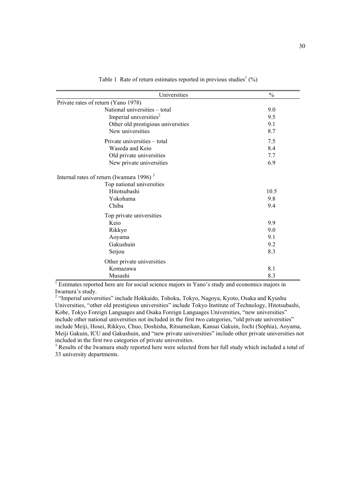| Universities                                                                                  | $\frac{0}{0}$ |
|-----------------------------------------------------------------------------------------------|---------------|
| Private rates of return (Yano 1978)                                                           |               |
| National universities - total                                                                 | 9.0           |
| Imperial universities <sup>2</sup>                                                            | 9.5           |
| Other old prestigious universities                                                            | 9.1           |
| New universities                                                                              | 8.7           |
| Private universities – total                                                                  | 7.5           |
| Waseda and Keio                                                                               | 8.4           |
| Old private universities                                                                      | 7.7           |
| New private universities                                                                      | 6.9           |
| Internal rates of return (Iwamura 1996) <sup>3</sup>                                          |               |
| Top national universities                                                                     |               |
| Hitotsubashi                                                                                  | 10.5          |
| Yokohama                                                                                      | 9.8           |
| Chiba                                                                                         | 9.4           |
| Top private universities                                                                      |               |
| Keio                                                                                          | 9.9           |
| Rikkyo                                                                                        | 9.0           |
| Aoyama                                                                                        | 9.1           |
| Gakushuin                                                                                     | 9.2           |
| Seijou                                                                                        | 8.3           |
| Other private universities                                                                    |               |
| Komazawa                                                                                      | 8.1           |
| Musashi                                                                                       | 8.3           |
| Estimates reported here are for social science majors in Yano's study and economics majors in |               |

Table 1 Rate of return estimates reported in previous studies<sup>1</sup>  $(\%)$ 

Iwamura's study.

<sup>2</sup> "Imperial universities" include Hokkaido, Tohoku, Tokyo, Nagoya, Kyoto, Osaka and Kyushu Universities, "other old prestigious universities" include Tokyo Institute of Technology, Hitotsubashi, Kobe, Tokyo Foreign Languages and Osaka Foreign Languages Universities, "new universities" include other national universities not included in the first two categories, "old private universities" include Meiji, Hosei, Rikkyo, Chuo, Doshisha, Ritsumeikan, Kansai Gakuin, Jochi (Sophia), Aoyama, Meiji Gakuin, ICU and Gakushuin, and "new private universities" include other private universities not included in the first two categories of private universities.

<sup>3</sup> Results of the Iwamura study reported here were selected from her full study which included a total of 33 university departments.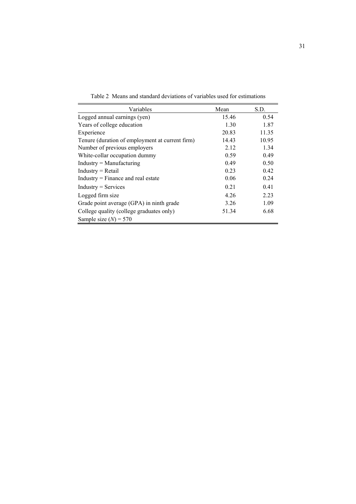| Variables                                       | Mean  | S.D.  |
|-------------------------------------------------|-------|-------|
| Logged annual earnings (yen)                    | 15.46 | 0.54  |
| Years of college education                      | 1.30  | 1.87  |
| Experience                                      | 20.83 | 11.35 |
| Tenure (duration of employment at current firm) | 14.43 | 10.95 |
| Number of previous employers                    | 2.12  | 1.34  |
| White-collar occupation dummy                   | 0.59  | 0.49  |
| $Industry = Manufacturing$                      | 0.49  | 0.50  |
| $Industry = Retail$                             | 0.23  | 0.42  |
| $Industry = Finance$ and real estate            | 0.06  | 0.24  |
| $Industry = Services$                           | 0.21  | 0.41  |
| Logged firm size                                | 4.26  | 2.23  |
| Grade point average (GPA) in ninth grade        | 3.26  | 1.09  |
| College quality (college graduates only)        | 51.34 | 6.68  |
| Sample size $(N) = 570$                         |       |       |

Table 2 Means and standard deviations of variables used for estimations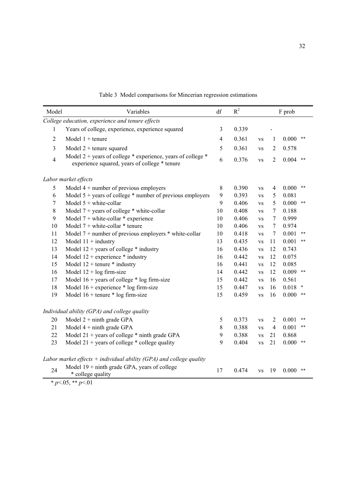| Model                                            | Variables                                                                                                        | df             | $R^2$ | F prob    |                |                     |  |  |  |
|--------------------------------------------------|------------------------------------------------------------------------------------------------------------------|----------------|-------|-----------|----------------|---------------------|--|--|--|
| College education, experience and tenure effects |                                                                                                                  |                |       |           |                |                     |  |  |  |
| 1                                                | Years of college, experience, experience squared                                                                 | 3              | 0.339 |           |                |                     |  |  |  |
| $\overline{2}$                                   | Model $1 +$ tenure                                                                                               | $\overline{4}$ | 0.361 | <b>VS</b> | 1              | 0.000<br>$***$      |  |  |  |
| $\overline{3}$                                   | Model $2 +$ tenure squared                                                                                       | 5              | 0.361 | <b>VS</b> | $\overline{2}$ | 0.578               |  |  |  |
| $\overline{4}$                                   | Model 2 + years of college $*$ experience, years of college $*$<br>experience squared, years of college * tenure |                | 0.376 | <b>VS</b> | $\overline{2}$ | 0.004<br>$***$      |  |  |  |
|                                                  | Labor market effects                                                                                             |                |       |           |                |                     |  |  |  |
| 5                                                | Model $4 +$ number of previous employers                                                                         | $8\,$          | 0.390 | <b>VS</b> | 4              | 0.000<br>$***$      |  |  |  |
| 6                                                | Model $5 + \text{years}$ of college $*$ number of previous employers                                             | 9              | 0.393 | <b>VS</b> | 5              | 0.081               |  |  |  |
| $\tau$                                           | Model $5 +$ white-collar                                                                                         | 9              | 0.406 | <b>VS</b> | 5              | 0.000<br>$***$      |  |  |  |
| 8                                                | Model $7 + \text{years}$ of college $*$ white-collar                                                             | 10             | 0.408 | <b>VS</b> | 7              | 0.188               |  |  |  |
| 9                                                | Model $7 + \text{white-collar}$ * experience                                                                     | 10             | 0.406 | <b>VS</b> | 7              | 0.999               |  |  |  |
| 10                                               | Model $7 + \text{white-collar}$ * tenure                                                                         | 10             | 0.406 | <b>VS</b> | $\tau$         | 0.974               |  |  |  |
| 11                                               | Model $7 +$ number of previous employers $*$ white-collar                                                        | 10             | 0.418 | <b>VS</b> | $\tau$         | 0.001<br>$***$      |  |  |  |
| 12                                               | Model $11 +$ industry                                                                                            | 13             | 0.435 | <b>VS</b> | 11             | 0.001<br>**         |  |  |  |
| 13                                               | Model $12 + \text{years}$ of college $*$ industry                                                                | 16             | 0.436 | <b>VS</b> | 12             | 0.743               |  |  |  |
| 14                                               | Model $12 +$ experience $*$ industry                                                                             | 16             | 0.442 | <b>VS</b> | 12             | 0.075               |  |  |  |
| 15                                               | Model $12 +$ tenure $*$ industry                                                                                 | 16             | 0.441 | <b>VS</b> | 12             | 0.085               |  |  |  |
| 16                                               | Model $12 + \log$ firm-size                                                                                      | 14             | 0.442 | <b>VS</b> | 12             | $0.009$ **          |  |  |  |
| 17                                               | Model $16 + \text{years}$ of college $*$ log firm-size                                                           | 15             | 0.442 | <b>VS</b> | 16             | 0.561               |  |  |  |
| 18                                               | Model $16 +$ experience $*$ log firm-size                                                                        | 15             | 0.447 | <b>VS</b> | 16             | 0.018<br>*          |  |  |  |
| 19                                               | Model $16 +$ tenure $*$ log firm-size                                                                            | 15             | 0.459 | <b>VS</b> | 16             | 0.000<br>**         |  |  |  |
|                                                  | Individual ability (GPA) and college quality                                                                     |                |       |           |                |                     |  |  |  |
| 20                                               | Model $2 + n$ inth grade GPA                                                                                     | 5              | 0.373 | <b>VS</b> | 2              | 0.001<br>$\ast\ast$ |  |  |  |
| 21                                               | Model $4 + n$ inth grade GPA                                                                                     | 8              | 0.388 | <b>VS</b> | 4              | 0.001<br>$***$      |  |  |  |
| 22                                               | Model $21 + \text{years}$ of college $*$ ninth grade GPA                                                         | 9              | 0.388 | <b>VS</b> | 21             | 0.868               |  |  |  |
| 23                                               | Model $21 + \text{years}$ of college $*$ college quality                                                         | 9              | 0.404 | <b>VS</b> | 21             | 0.000<br>**         |  |  |  |
|                                                  | Labor market effects $+$ individual ability (GPA) and college quality                                            |                |       |           |                |                     |  |  |  |
| 24                                               | Model $19 + \text{ninth grade}$ GPA, years of college<br>* college quality                                       | 17             | 0.474 | <b>VS</b> | 19             | 0.000<br>$***$      |  |  |  |

Table 3 Model comparisons for Mincerian regression estimations

 $*_{p<.05,**_{p<.01}}$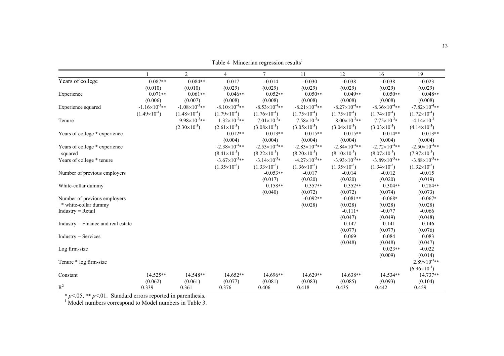|                                      |                        | $\overline{2}$           | $\overline{4}$         | $\tau$                   | 11                        | 12                        | 16                     | 19                     |
|--------------------------------------|------------------------|--------------------------|------------------------|--------------------------|---------------------------|---------------------------|------------------------|------------------------|
| Years of college                     | $0.087**$              | $0.084**$                | 0.017                  | $-0.014$                 | $-0.030$                  | $-0.038$                  | $-0.038$               | $-0.023$               |
|                                      | (0.010)                | (0.010)                  | (0.029)                | (0.029)                  | (0.029)                   | (0.029)                   | (0.029)                | (0.029)                |
| Experience                           | $0.071**$              | $0.061**$                | $0.046**$              | $0.052**$                | $0.050**$                 | $0.049**$                 | $0.050**$              | $0.048**$              |
|                                      | (0.006)                | (0.007)                  | (0.008)                | (0.008)                  | (0.008)                   | (0.008)                   | (0.008)                | (0.008)                |
| Experience squared                   | $-1.16\times10^{-3}**$ | $-1.08\times10^{-3}**$   | $-8.10\times10^{-4}**$ | $-8.53\times10^{-4}**$   | $-8.21 \times 10^{-4}$ ** | $-8.27\times10^{-4}**$    | $-8.36\times10^{-4}**$ | $-7.82\times10^{-4}**$ |
|                                      | $(1.49\times10^{-4})$  | $(1.48\times10^{-4})$    | $(1.79\times10^{-4})$  | $(1.76\times10^{-4})$    | $(1.75\times10^{-4})$     | $(1.75\times10^{-4})$     | $(1.74\times10^{-4})$  | $(1.72\times10^{-4})$  |
| Tenure                               |                        | $9.98 \times 10^{-3}$ ** | $1.32\times10^{-2}**$  | $7.01\times10^{-3*}$     | $7.58\times10^{-3}*$      | $8.00\times10^{-3}**$     | $7.75\times10^{-3}*$   | $-4.14 \times 10^{-3}$ |
|                                      |                        | $(2.30\times10^{-3})$    | $(2.61\times10^{-3})$  | $(3.08\times10^{-3})$    | $(3.05\times10^{-3})$     | $(3.04\times10^{-3})$     | $(3.03\times10^{-3})$  | $(4.14\times10^{-3})$  |
| Years of college * experience        |                        |                          | $0.012**$              | $0.013**$                | $0.015**$                 | $0.015**$                 | $0.014**$              | $0.013**$              |
|                                      |                        |                          | (0.004)                | (0.004)                  | (0.004)                   | (0.004)                   | (0.004)                | (0.004)                |
| Years of college * experience        |                        |                          | $-2.38\times10^{-4}**$ | $-2.53\times10^{-4}**$   | $-2.83\times10^{-4}**$    | $-2.84 \times 10^{-4}$ ** | $-2.72\times10^{-4}**$ | $-2.50\times10^{-4}**$ |
| squared                              |                        |                          | $(8.41\times10^{-5})$  | $(8.22\times10^{-5})$    | $(8.20\times10^{-5})$     | $(8.10\times10^{-5})$     | $(8.07\times10^{-5})$  | $(7.97\times10^{-5})$  |
| Years of college * tenure            |                        |                          | $-3.67\times10^{-3}**$ | $-3.14 \times 10^{-3}$ * | $-4.27\times10^{-3}**$    | $-3.93\times10^{-3}**$    | $-3.89\times10^{-3}**$ | $-3.88\times10^{-3}**$ |
|                                      |                        |                          | $(1.35\times10^{-3})$  | $(1.33\times10^{-3})$    | $(1.36\times10^{-3})$     | $(1.35\times10^{-3})$     | $(1.34\times10^{-3})$  | $(1.32\times10^{-3})$  |
| Number of previous employers         |                        |                          |                        | $-0.053**$               | $-0.017$                  | $-0.014$                  | $-0.012$               | $-0.015$               |
|                                      |                        |                          |                        | (0.017)                  | (0.020)                   | (0.020)                   | (0.020)                | (0.019)                |
| White-collar dummy                   |                        |                          |                        | $0.158**$                | $0.357**$                 | $0.352**$                 | $0.304**$              | $0.284**$              |
|                                      |                        |                          |                        | (0.040)                  | (0.072)                   | (0.072)                   | (0.074)                | (0.073)                |
| Number of previous employers         |                        |                          |                        |                          | $-0.092**$                | $-0.081**$                | $-0.068*$              | $-0.067*$              |
| * white-collar dummy                 |                        |                          |                        |                          | (0.028)                   | (0.028)                   | (0.028)                | (0.028)                |
| $Industry = Retail$                  |                        |                          |                        |                          |                           | $-0.111*$                 | $-0.077$               | $-0.066$               |
|                                      |                        |                          |                        |                          |                           | (0.047)                   | (0.049)                | (0.048)                |
| $Industry = Finance$ and real estate |                        |                          |                        |                          |                           | 0.147                     | 0.141                  | 0.146                  |
|                                      |                        |                          |                        |                          |                           | (0.077)                   | (0.077)                | (0.076)                |
| $Industry = Services$                |                        |                          |                        |                          |                           | 0.069                     | 0.084                  | 0.083                  |
|                                      |                        |                          |                        |                          |                           | (0.048)                   | (0.048)<br>$0.023**$   | (0.047)                |
| Log firm-size                        |                        |                          |                        |                          |                           |                           | (0.009)                | $-0.022$<br>(0.014)    |
| Tenure * log firm-size               |                        |                          |                        |                          |                           |                           |                        | $2.89\times10^{-3}**$  |
|                                      |                        |                          |                        |                          |                           |                           |                        | $(6.96\times10^{-4})$  |
| Constant                             | 14.525**               | 14.548**                 | 14.652**               | 14.696**                 | 14.629**                  | 14.638**                  | 14.534**               | 14.737**               |
|                                      | (0.062)                | (0.061)                  | (0.077)                | (0.081)                  | (0.083)                   | (0.085)                   | (0.093)                | (0.104)                |
| $R^2$                                | 0.339                  | 0.361                    | 0.376                  | 0.406                    | 0.418                     | 0.435                     | 0.442                  | 0.459                  |

Table 4 Mincerian regression results<sup>1</sup>

\* *p*<.05, \*\* *p*<.01. Standard errors reported in parenthesis.

 $1$  Model numbers correspond to Model numbers in Table 3.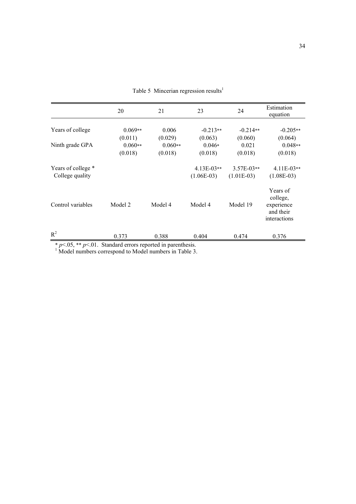|                                       | 20                   | 21                   | 23                           | 24                           | Estimation<br>equation                                          |
|---------------------------------------|----------------------|----------------------|------------------------------|------------------------------|-----------------------------------------------------------------|
| Years of college                      | $0.069**$<br>(0.011) | 0.006<br>(0.029)     | $-0.213**$<br>(0.063)        | $-0.214**$<br>(0.060)        | $-0.205**$<br>(0.064)                                           |
| Ninth grade GPA                       | $0.060**$<br>(0.018) | $0.060**$<br>(0.018) | $0.046*$<br>(0.018)          | 0.021<br>(0.018)             | $0.048**$<br>(0.018)                                            |
| Years of college *<br>College quality |                      |                      | $4.13E-03**$<br>$(1.06E-03)$ | $3.57E-03**$<br>$(1.01E-03)$ | $4.11E-03**$<br>$(1.08E-03)$                                    |
| Control variables                     | Model 2              | Model 4              | Model 4                      | Model 19                     | Years of<br>college,<br>experience<br>and their<br>interactions |
| $R^2$                                 | 0.373                | 0.388                | 0.404                        | 0.474                        | 0.376                                                           |

Table 5 Mincerian regression results<sup>1</sup>

 $* p \le 0.05$ ,  $* p \le 0.01$ . Standard errors reported in parenthesis.<br><sup>1</sup> Model numbers correspond to Model numbers in Table 3.